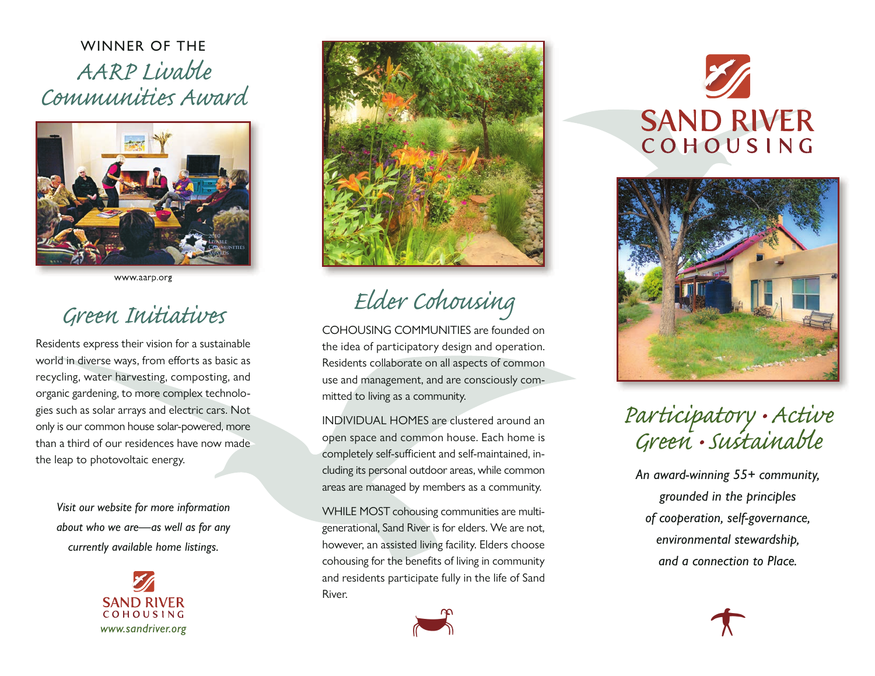WINNER OF THE AARP Livable Communities Award



www.aarp.org

## Green Initiativ

Residents express their vision for a sustainable world in diverse ways, from efforts as basic as recycling, water harvesting, composting, and organic gardening, to more complex technologies such as solar arrays and electric cars. Not only is our common house solar-powered, more than a third of our residences have now made the leap to photovoltaic energy.

*Visit our website for more information about who we are—as well as for any currently available home listings.*





Elder Cohousing

COHOUSING COMMUNITIES are founded on the idea of participatory design and operation. Residents collaborate on all aspects of common use and management, and are consciously committed to living as a community.

INDIVIDUAL HOMES are clustered around an open space and common house. Each home is completely self-sufficient and self-maintained, including its personal outdoor areas, while common areas are managed by members as a community.

WHILE MOST cohousing communities are multigenerational, Sand River is for elders. We are not, however, an assisted living facility. Elders choose cohousing for the benefits of living in community and residents participate fully in the life of Sand River.



**SAND RIVER** COHOUSING



## Participatory • Active Green •Sustainable

*An award-winning 55+ community, grounded in the principles of cooperation, self-governance, environmental stewardship, and a connection to Place.*